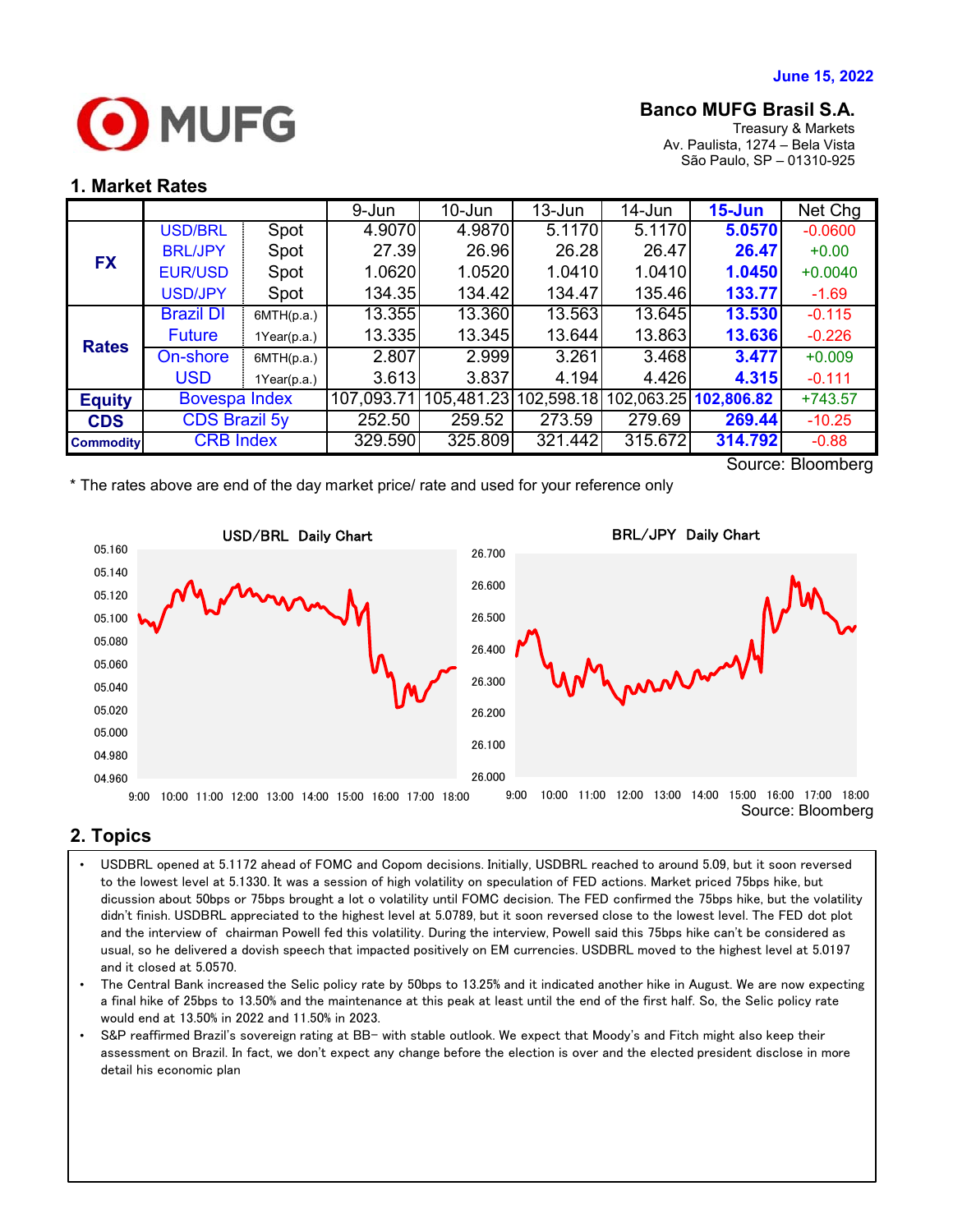

# **Banco MUFG Brasil S.A.**

Treasury & Markets Av. Paulista, 1274 – Bela Vista São Paulo, SP – 01310-925

### **1. Market Rates**

|                                      |             | 9-Jun      | $10 - Jun$ | $13 - Jun$                                                                           | 14-Jun                                                                               | $15 - Jun$ | Net Chg                                                                                                                            |
|--------------------------------------|-------------|------------|------------|--------------------------------------------------------------------------------------|--------------------------------------------------------------------------------------|------------|------------------------------------------------------------------------------------------------------------------------------------|
| <b>USD/BRL</b>                       | Spot        |            |            | 5.1170                                                                               |                                                                                      | 5.0570     | $-0.0600$                                                                                                                          |
| <b>BRL/JPY</b>                       | Spot        |            |            |                                                                                      |                                                                                      | 26.47      | $+0.00$                                                                                                                            |
| <b>EUR/USD</b>                       | Spot        |            |            | 1.0410                                                                               |                                                                                      | 1.0450     | $+0.0040$                                                                                                                          |
| <b>USD/JPY</b>                       | Spot        |            |            | 134.47                                                                               |                                                                                      | 133.77     | $-1.69$                                                                                                                            |
| <b>Brazil DI</b>                     | 6MTH(p.a.)  |            |            | 13.563                                                                               |                                                                                      | 13.530     | $-0.115$                                                                                                                           |
| <b>Future</b>                        | 1Year(p.a.) |            |            | 13.644                                                                               |                                                                                      | 13.636     | $-0.226$                                                                                                                           |
| On-shore                             | 6MTH(p.a.)  |            |            | 3.261                                                                                |                                                                                      | 3.477      | $+0.009$                                                                                                                           |
| <b>USD</b>                           | 1Year(p.a.) |            |            | 4.194                                                                                |                                                                                      | 4.315      | $-0.111$                                                                                                                           |
| <b>Bovespa Index</b>                 |             | 107,093.71 | 105,481.23 | 102,598.18                                                                           |                                                                                      |            | $+743.57$                                                                                                                          |
| <b>CDS Brazil 5y</b>                 |             | 252.50     | 259.52     | 273.59                                                                               | 279.69                                                                               | 269.44     | $-10.25$                                                                                                                           |
| <b>CRB</b> Index<br><b>Commodity</b> |             |            |            | 321.442                                                                              |                                                                                      | 314.792    | $-0.88$                                                                                                                            |
|                                      |             |            |            | 4.9070<br>27.39<br>1.0620<br>134.35<br>13.355<br>13.335<br>2.807<br>3.613<br>329.590 | 4.9870<br>26.96<br>1.0520<br>134.42<br>13.360<br>13.345<br>2.999<br>3.837<br>325.809 | 26.28      | 5.1170<br>26.47<br>1.0410<br>135.46<br>13.645<br>13.863<br>3.468<br>4.426<br>102,063.25 102,806.82<br>315.672<br>Source: Ploomborg |

Source: Bloomberg

\* The rates above are end of the day market price/ rate and used for your reference only



# **2. Topics**

- didn't finish. USDBRL appreciated to the highest level at 5.0789, but it soon reversed close to the lowest level. The FED dot plot • USDBRL opened at 5.1172 ahead of FOMC and Copom decisions. Initially, USDBRL reached to around 5.09, but it soon reversed to the lowest level at 5.1330. It was a session of high volatility on speculation of FED actions. Market priced 75bps hike, but dicussion about 50bps or 75bps brought a lot o volatility until FOMC decision. The FED confirmed the 75bps hike, but the volatility and the interview of chairman Powell fed this volatility. During the interview, Powell said this 75bps hike can't be considered as usual, so he delivered a dovish speech that impacted positively on EM currencies. USDBRL moved to the highest level at 5.0197 and it closed at 5.0570.
- The Central Bank increased the Selic policy rate by 50bps to 13.25% and it indicated another hike in August. We are now expecting a final hike of 25bps to 13.50% and the maintenance at this peak at least until the end of the first half. So, the Selic policy rate would end at 13.50% in 2022 and 11.50% in 2023.
- S&P reaffirmed Brazil's sovereign rating at BB- with stable outlook. We expect that Moody's and Fitch might also keep their assessment on Brazil. In fact, we don't expect any change before the election is over and the elected president disclose in more detail his economic plan